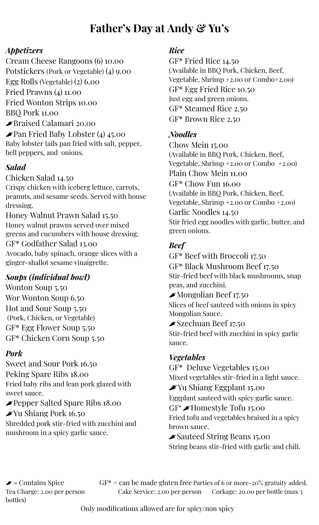# **Father's Day at Andy & Yu's**

## *Appetizers*

Cream Cheese Rangoons (6) 10.00 Potstickers (Pork or Vegetable) (4) 9.00 Egg Rolls (Vegetable) (2) 6.00 Fried Prawns (4) 11.00 Fried Wonton Strips 10.00 BBQ Pork 11.00 Braised Calamari 20.00  $\blacktriangleright$ Pan Fried Baby Lobster (4) 45.00 Baby lobster tails pan fried with salt, pepper, bell peppers, and onions.

# *Salad*

Chicken Salad 14.50 Crispy chicken with iceberg lettuce, carrots, peanuts, and sesame seeds. Served with house dressing.

Honey Walnut Prawn Salad 15.50 Honey walnut prawns served over mixed greens and cucumbers with house dressing. GF\* Godfather Salad 13.00 Avocado, baby spinach, orange slices with a ginger-shallot sesame vinaigrette.

# *Soups (individual bowl)*

Wonton Soup 5.50 Wor Wonton Soup 6.50 Hot and Sour Soup 5.50 (Pork, Chicken, or Vegetable) GF\* Egg Flower Soup 5.50 GF\* Chicken Corn Soup 5.50

## *Pork*

Sweet and Sour Pork 16.50 Peking Spare Ribs 18.00 Fried baby ribs and lean pork glazed with sweet sauce.

Pepper Salted Spare Ribs 18.00 Yu Shiang Pork 16.50 Shredded pork stir-fried with zucchini and mushroom in a spicy garlic sauce.

#### *Rice*

GF\* Fried Rice 14.50 (Available in BBQ Pork, Chicken, Beef, Vegetable, Shrimp +2.00 or Combo+2.00) GF\* Egg Fried Rice 10.50 Just egg and green onions. GF\* Steamed Rice 2.50 GF\* Brown Rice 2.50

## *Noodles*

Chow Mein 15.00 (Available in BBQ Pork, Chicken, Beef, Vegetable, Shrimp +2.00 or Combo +2.00) Plain Chow Mein 11.00 GF\* Chow Fun 16.00 (Available in BBQ Pork, Chicken, Beef, Vegetable, Shrimp +2.00 or Combo +2.00) Garlic Noodles 14.50 Stir fried egg noodles with garlic, butter, and green onions.

# *Beef*

GF\* Beef with Broccoli 17.50 GF\* Black Mushroom Beef 17.50 Stir-fried beef with black mushrooms, snap peas, and zucchini. Mongolian Beef 17.50

Slices of beef sauteed with onions in spicy Mongolian Sauce.

#### Szechuan Beef 17.50

Stir-fried beef with zucchini in spicy garlic sauce.

## *Vegetables*

GF\* Deluxe Vegetables 15.00 Mixed vegetables stir-fried in a light sauce.  $\blacktriangleright$ Yu Shiang Eggplant 15.00 Eggplant sauteed with spicy garlic sauce. GF\* Homestyle Tofu 15.00 Fried tofu and vegetables braised in a spicy brown sauce. Sauteed String Beans 15.00 String beans stir-fried with garlic and chili.

bottles)

 $\blacktriangleright$  = Contains Spice GF\* = can be made gluten free Parties of 6 or more-20% gratuity added. Tea Charge: 2.00 per person Cake Service: 2.00 per person Corkage: 20.00 per bottle (max 3

Only modifications allowed are for spicy/non spicy